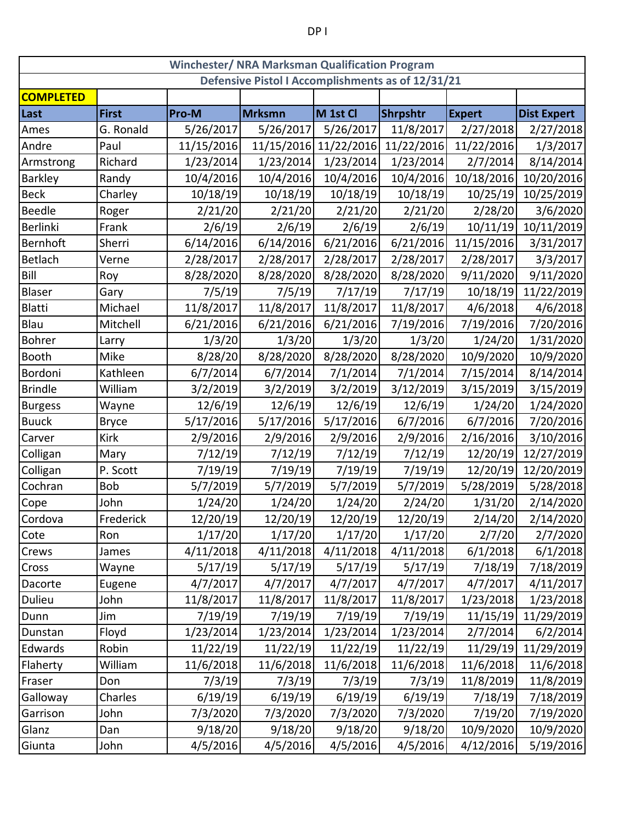| <b>Winchester/ NRA Marksman Qualification Program</b> |              |            |               |                       |                 |               |                    |
|-------------------------------------------------------|--------------|------------|---------------|-----------------------|-----------------|---------------|--------------------|
| Defensive Pistol I Accomplishments as of 12/31/21     |              |            |               |                       |                 |               |                    |
| <b>COMPLETED</b>                                      |              |            |               |                       |                 |               |                    |
| Last                                                  | <b>First</b> | Pro-M      | <b>Mrksmn</b> | M 1st Cl              | <b>Shrpshtr</b> | <b>Expert</b> | <b>Dist Expert</b> |
| Ames                                                  | G. Ronald    | 5/26/2017  | 5/26/2017     | 5/26/2017             | 11/8/2017       | 2/27/2018     | 2/27/2018          |
| Andre                                                 | Paul         | 11/15/2016 |               | 11/15/2016 11/22/2016 | 11/22/2016      | 11/22/2016    | 1/3/2017           |
| Armstrong                                             | Richard      | 1/23/2014  | 1/23/2014     | 1/23/2014             | 1/23/2014       | 2/7/2014      | 8/14/2014          |
| Barkley                                               | Randy        | 10/4/2016  | 10/4/2016     | 10/4/2016             | 10/4/2016       | 10/18/2016    | 10/20/2016         |
| <b>Beck</b>                                           | Charley      | 10/18/19   | 10/18/19      | 10/18/19              | 10/18/19        | 10/25/19      | 10/25/2019         |
| Beedle                                                | Roger        | 2/21/20    | 2/21/20       | 2/21/20               | 2/21/20         | 2/28/20       | 3/6/2020           |
| <b>Berlinki</b>                                       | Frank        | 2/6/19     | 2/6/19        | 2/6/19                | 2/6/19          | 10/11/19      | 10/11/2019         |
| Bernhoft                                              | Sherri       | 6/14/2016  | 6/14/2016     | 6/21/2016             | 6/21/2016       | 11/15/2016    | 3/31/2017          |
| Betlach                                               | Verne        | 2/28/2017  | 2/28/2017     | 2/28/2017             | 2/28/2017       | 2/28/2017     | 3/3/2017           |
| Bill                                                  | Roy          | 8/28/2020  | 8/28/2020     | 8/28/2020             | 8/28/2020       | 9/11/2020     | 9/11/2020          |
| Blaser                                                | Gary         | 7/5/19     | 7/5/19        | 7/17/19               | 7/17/19         | 10/18/19      | 11/22/2019         |
| Blatti                                                | Michael      | 11/8/2017  | 11/8/2017     | 11/8/2017             | 11/8/2017       | 4/6/2018      | 4/6/2018           |
| Blau                                                  | Mitchell     | 6/21/2016  | 6/21/2016     | 6/21/2016             | 7/19/2016       | 7/19/2016     | 7/20/2016          |
| Bohrer                                                | Larry        | 1/3/20     | 1/3/20        | 1/3/20                | 1/3/20          | 1/24/20       | 1/31/2020          |
| Booth                                                 | Mike         | 8/28/20    | 8/28/2020     | 8/28/2020             | 8/28/2020       | 10/9/2020     | 10/9/2020          |
| Bordoni                                               | Kathleen     | 6/7/2014   | 6/7/2014      | 7/1/2014              | 7/1/2014        | 7/15/2014     | 8/14/2014          |
| <b>Brindle</b>                                        | William      | 3/2/2019   | 3/2/2019      | 3/2/2019              | 3/12/2019       | 3/15/2019     | 3/15/2019          |
| <b>Burgess</b>                                        | Wayne        | 12/6/19    | 12/6/19       | 12/6/19               | 12/6/19         | 1/24/20       | 1/24/2020          |
| <b>Buuck</b>                                          | <b>Bryce</b> | 5/17/2016  | 5/17/2016     | 5/17/2016             | 6/7/2016        | 6/7/2016      | 7/20/2016          |
| Carver                                                | <b>Kirk</b>  | 2/9/2016   | 2/9/2016      | 2/9/2016              | 2/9/2016        | 2/16/2016     | 3/10/2016          |
| Colligan                                              | Mary         | 7/12/19    | 7/12/19       | 7/12/19               | 7/12/19         | 12/20/19      | 12/27/2019         |
| Colligan                                              | P. Scott     | 7/19/19    | 7/19/19       | 7/19/19               | 7/19/19         | 12/20/19      | 12/20/2019         |
| Cochran                                               | <b>Bob</b>   | 5/7/2019   | 5/7/2019      | 5/7/2019              | 5/7/2019        | 5/28/2019     | 5/28/2018          |
| Cope                                                  | John         | 1/24/20    | 1/24/20       | 1/24/20               | 2/24/20         | 1/31/20       | 2/14/2020          |
| Cordova                                               | Frederick    | 12/20/19   | 12/20/19      | 12/20/19              | 12/20/19        | 2/14/20       | 2/14/2020          |
| Cote                                                  | Ron          | 1/17/20    | 1/17/20       | 1/17/20               | 1/17/20         | 2/7/20        | 2/7/2020           |
| Crews                                                 | James        | 4/11/2018  | 4/11/2018     | 4/11/2018             | 4/11/2018       | 6/1/2018      | 6/1/2018           |
| Cross                                                 | Wayne        | 5/17/19    | 5/17/19       | 5/17/19               | 5/17/19         | 7/18/19       | 7/18/2019          |
| Dacorte                                               | Eugene       | 4/7/2017   | 4/7/2017      | 4/7/2017              | 4/7/2017        | 4/7/2017      | 4/11/2017          |
| Dulieu                                                | John         | 11/8/2017  | 11/8/2017     | 11/8/2017             | 11/8/2017       | 1/23/2018     | 1/23/2018          |
| Dunn                                                  | Jim          | 7/19/19    | 7/19/19       | 7/19/19               | 7/19/19         | 11/15/19      | 11/29/2019         |
| Dunstan                                               | Floyd        | 1/23/2014  | 1/23/2014     | 1/23/2014             | 1/23/2014       | 2/7/2014      | 6/2/2014           |
| Edwards                                               | Robin        | 11/22/19   | 11/22/19      | 11/22/19              | 11/22/19        | 11/29/19      | 11/29/2019         |
| Flaherty                                              | William      | 11/6/2018  | 11/6/2018     | 11/6/2018             | 11/6/2018       | 11/6/2018     | 11/6/2018          |
| Fraser                                                | Don          | 7/3/19     | 7/3/19        | 7/3/19                | 7/3/19          | 11/8/2019     | 11/8/2019          |
| Galloway                                              | Charles      | 6/19/19    | 6/19/19       | 6/19/19               | 6/19/19         | 7/18/19       | 7/18/2019          |
| Garrison                                              | John         | 7/3/2020   | 7/3/2020      | 7/3/2020              | 7/3/2020        | 7/19/20       | 7/19/2020          |
| Glanz                                                 | Dan          | 9/18/20    | 9/18/20       | 9/18/20               | 9/18/20         | 10/9/2020     | 10/9/2020          |
| Giunta                                                | John         | 4/5/2016   | 4/5/2016      | 4/5/2016              | 4/5/2016        | 4/12/2016     | 5/19/2016          |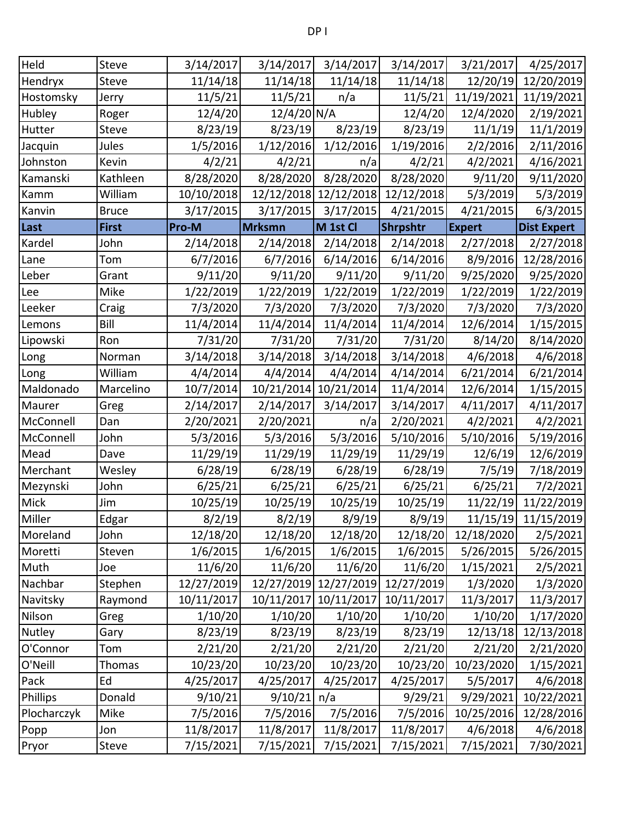| Held        | Steve        | 3/14/2017  | 3/14/2017     | 3/14/2017             | 3/14/2017       | 3/21/2017     | 4/25/2017           |
|-------------|--------------|------------|---------------|-----------------------|-----------------|---------------|---------------------|
| Hendryx     | Steve        | 11/14/18   | 11/14/18      | 11/14/18              | 11/14/18        | 12/20/19      | 12/20/2019          |
| Hostomsky   | Jerry        | 11/5/21    | 11/5/21       | n/a                   | 11/5/21         | 11/19/2021    | 11/19/2021          |
| Hubley      | Roger        | 12/4/20    | 12/4/20 N/A   |                       | 12/4/20         | 12/4/2020     | 2/19/2021           |
| Hutter      | Steve        | 8/23/19    | 8/23/19       | 8/23/19               | 8/23/19         | 11/1/19       | 11/1/2019           |
| Jacquin     | Jules        | 1/5/2016   | 1/12/2016     | 1/12/2016             | 1/19/2016       | 2/2/2016      | 2/11/2016           |
| Johnston    | Kevin        | 4/2/21     | 4/2/21        | n/a                   | 4/2/21          | 4/2/2021      | 4/16/2021           |
| Kamanski    | Kathleen     | 8/28/2020  | 8/28/2020     | 8/28/2020             | 8/28/2020       | 9/11/20       | 9/11/2020           |
| Kamm        | William      | 10/10/2018 |               | 12/12/2018 12/12/2018 | 12/12/2018      | 5/3/2019      | 5/3/2019            |
| Kanvin      | <b>Bruce</b> | 3/17/2015  | 3/17/2015     | 3/17/2015             | 4/21/2015       | 4/21/2015     | 6/3/2015            |
| Last        | <b>First</b> | Pro-M      | Mrksmn        | M 1st Cl              | <b>Shrpshtr</b> | <b>Expert</b> | <b>Dist Expert</b>  |
| Kardel      | John         | 2/14/2018  | 2/14/2018     | 2/14/2018             | 2/14/2018       | 2/27/2018     | 2/27/2018           |
| Lane        | Tom          | 6/7/2016   | 6/7/2016      | 6/14/2016             | 6/14/2016       | 8/9/2016      | 12/28/2016          |
| Leber       | Grant        | 9/11/20    | 9/11/20       | 9/11/20               | 9/11/20         | 9/25/2020     | 9/25/2020           |
| Lee         | Mike         | 1/22/2019  | 1/22/2019     | 1/22/2019             | 1/22/2019       | 1/22/2019     | 1/22/2019           |
| Leeker      | Craig        | 7/3/2020   | 7/3/2020      | 7/3/2020              | 7/3/2020        | 7/3/2020      | 7/3/2020            |
| Lemons      | Bill         | 11/4/2014  | 11/4/2014     | 11/4/2014             | 11/4/2014       | 12/6/2014     | 1/15/2015           |
| Lipowski    | Ron          | 7/31/20    | 7/31/20       | 7/31/20               | 7/31/20         | 8/14/20       | 8/14/2020           |
| Long        | Norman       | 3/14/2018  | 3/14/2018     | 3/14/2018             | 3/14/2018       | 4/6/2018      | 4/6/2018            |
| Long        | William      | 4/4/2014   | 4/4/2014      | 4/4/2014              | 4/14/2014       | 6/21/2014     | 6/21/2014           |
| Maldonado   | Marcelino    | 10/7/2014  | 10/21/2014    | 10/21/2014            | 11/4/2014       | 12/6/2014     | 1/15/2015           |
| Maurer      | Greg         | 2/14/2017  | 2/14/2017     | 3/14/2017             | 3/14/2017       | 4/11/2017     | 4/11/2017           |
| McConnell   | Dan          | 2/20/2021  | 2/20/2021     | n/a                   | 2/20/2021       | 4/2/2021      | 4/2/2021            |
| McConnell   | John         | 5/3/2016   | 5/3/2016      | 5/3/2016              | 5/10/2016       | 5/10/2016     | 5/19/2016           |
| Mead        | Dave         | 11/29/19   | 11/29/19      | 11/29/19              | 11/29/19        | 12/6/19       | 12/6/2019           |
| Merchant    | Wesley       | 6/28/19    | 6/28/19       | 6/28/19               | 6/28/19         | 7/5/19        | 7/18/2019           |
| Mezynski    | John         | 6/25/21    | 6/25/21       | 6/25/21               | 6/25/21         | 6/25/21       | 7/2/2021            |
| Mick        | Jim          | 10/25/19   | 10/25/19      | 10/25/19              | 10/25/19        | 11/22/19      | 11/22/2019          |
| Miller      | Edgar        | 8/2/19     | 8/2/19        | 8/9/19                | 8/9/19          |               | 11/15/19 11/15/2019 |
| Moreland    | John         | 12/18/20   | 12/18/20      | 12/18/20              | 12/18/20        | 12/18/2020    | 2/5/2021            |
| Moretti     | Steven       | 1/6/2015   | 1/6/2015      | 1/6/2015              | 1/6/2015        | 5/26/2015     | 5/26/2015           |
| Muth        | Joe          | 11/6/20    | 11/6/20       | 11/6/20               | 11/6/20         | 1/15/2021     | 2/5/2021            |
| Nachbar     | Stephen      | 12/27/2019 |               | 12/27/2019 12/27/2019 | 12/27/2019      | 1/3/2020      | 1/3/2020            |
| Navitsky    | Raymond      | 10/11/2017 |               | 10/11/2017 10/11/2017 | 10/11/2017      | 11/3/2017     | 11/3/2017           |
| Nilson      | Greg         | 1/10/20    | 1/10/20       | 1/10/20               | 1/10/20         | 1/10/20       | 1/17/2020           |
| Nutley      | Gary         | 8/23/19    | 8/23/19       | 8/23/19               | 8/23/19         | 12/13/18      | 12/13/2018          |
| O'Connor    | Tom          | 2/21/20    | 2/21/20       | 2/21/20               | 2/21/20         | 2/21/20       | 2/21/2020           |
| O'Neill     | Thomas       | 10/23/20   | 10/23/20      | 10/23/20              | 10/23/20        | 10/23/2020    | 1/15/2021           |
| Pack        | Ed           | 4/25/2017  | 4/25/2017     | 4/25/2017             | 4/25/2017       | 5/5/2017      | 4/6/2018            |
| Phillips    | Donald       | 9/10/21    | $9/10/21$ n/a |                       | 9/29/21         | 9/29/2021     | 10/22/2021          |
| Plocharczyk | Mike         | 7/5/2016   | 7/5/2016      | 7/5/2016              | 7/5/2016        | 10/25/2016    | 12/28/2016          |
| Popp        | Jon          | 11/8/2017  | 11/8/2017     | 11/8/2017             | 11/8/2017       | 4/6/2018      | 4/6/2018            |
| Pryor       | Steve        | 7/15/2021  | 7/15/2021     | 7/15/2021             | 7/15/2021       | 7/15/2021     | 7/30/2021           |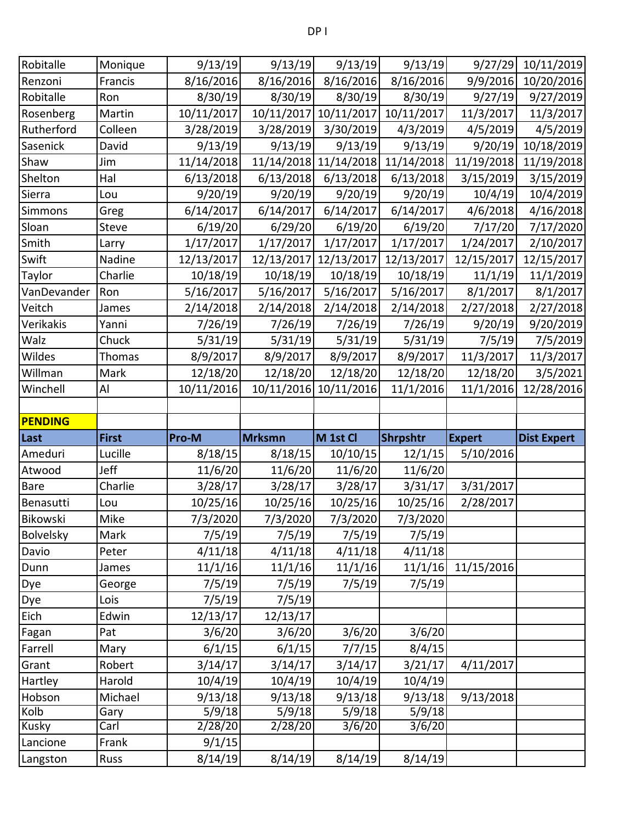| Robitalle            | Monique       | 9/13/19           | 9/13/19       | 9/13/19    | 9/13/19    | 9/27/29       | 10/11/2019         |
|----------------------|---------------|-------------------|---------------|------------|------------|---------------|--------------------|
| Renzoni              | Francis       | 8/16/2016         | 8/16/2016     | 8/16/2016  | 8/16/2016  | 9/9/2016      | 10/20/2016         |
| Robitalle            | Ron           | 8/30/19           | 8/30/19       | 8/30/19    | 8/30/19    | 9/27/19       | 9/27/2019          |
| Rosenberg            | Martin        | 10/11/2017        | 10/11/2017    | 10/11/2017 | 10/11/2017 | 11/3/2017     | 11/3/2017          |
| Rutherford           | Colleen       | 3/28/2019         | 3/28/2019     | 3/30/2019  | 4/3/2019   | 4/5/2019      | 4/5/2019           |
| Sasenick             | David         | 9/13/19           | 9/13/19       | 9/13/19    | 9/13/19    | 9/20/19       | 10/18/2019         |
| Shaw                 | Jim           | 11/14/2018        | 11/14/2018    | 11/14/2018 | 11/14/2018 | 11/19/2018    | 11/19/2018         |
| Shelton              | Hal           | 6/13/2018         | 6/13/2018     | 6/13/2018  | 6/13/2018  | 3/15/2019     | 3/15/2019          |
| Sierra               | Lou           | 9/20/19           | 9/20/19       | 9/20/19    | 9/20/19    | 10/4/19       | 10/4/2019          |
| Simmons              | Greg          | 6/14/2017         | 6/14/2017     | 6/14/2017  | 6/14/2017  | 4/6/2018      | 4/16/2018          |
| Sloan                | Steve         | 6/19/20           | 6/29/20       | 6/19/20    | 6/19/20    | 7/17/20       | 7/17/2020          |
| Smith                | Larry         | 1/17/2017         | 1/17/2017     | 1/17/2017  | 1/17/2017  | 1/24/2017     | 2/10/2017          |
| Swift                | Nadine        | 12/13/2017        | 12/13/2017    | 12/13/2017 | 12/13/2017 | 12/15/2017    | 12/15/2017         |
| Taylor               | Charlie       | 10/18/19          | 10/18/19      | 10/18/19   | 10/18/19   | 11/1/19       | 11/1/2019          |
| VanDevander          | Ron           | 5/16/2017         | 5/16/2017     | 5/16/2017  | 5/16/2017  | 8/1/2017      | 8/1/2017           |
| Veitch               | James         | 2/14/2018         | 2/14/2018     | 2/14/2018  | 2/14/2018  | 2/27/2018     | 2/27/2018          |
| Verikakis            | Yanni         | 7/26/19           | 7/26/19       | 7/26/19    | 7/26/19    | 9/20/19       | 9/20/2019          |
| Walz                 | Chuck         | 5/31/19           | 5/31/19       | 5/31/19    | 5/31/19    | 7/5/19        | 7/5/2019           |
| Wildes               | <b>Thomas</b> | 8/9/2017          | 8/9/2017      | 8/9/2017   | 8/9/2017   | 11/3/2017     | 11/3/2017          |
| Willman              | Mark          | 12/18/20          | 12/18/20      | 12/18/20   | 12/18/20   | 12/18/20      | 3/5/2021           |
| Winchell             | Al            | 10/11/2016        | 10/11/2016    | 10/11/2016 | 11/1/2016  | 11/1/2016     | 12/28/2016         |
|                      |               |                   |               |            |            |               |                    |
| <b>PENDING</b>       |               |                   |               |            |            |               |                    |
| Last                 | <b>First</b>  | Pro-M             | <b>Mrksmn</b> | M 1st Cl   | Shrpshtr   | <b>Expert</b> | <b>Dist Expert</b> |
| Ameduri              | Lucille       | 8/18/15           | 8/18/15       | 10/10/15   | 12/1/15    | 5/10/2016     |                    |
| Atwood               | Jeff          | 11/6/20           | 11/6/20       | 11/6/20    | 11/6/20    |               |                    |
| <b>Bare</b>          | Charlie       | 3/28/17           | 3/28/17       | 3/28/17    | 3/31/17    | 3/31/2017     |                    |
| Benasutti            | Lou           | 10/25/16          |               |            |            |               |                    |
| Bikowski             |               |                   | 10/25/16      | 10/25/16   | 10/25/16   | 2/28/2017     |                    |
| Bolvelsky            | Mike          | 7/3/2020          | 7/3/2020      | 7/3/2020   | 7/3/2020   |               |                    |
|                      | Mark          | 7/5/19            | 7/5/19        | 7/5/19     | 7/5/19     |               |                    |
| Davio                | Peter         | 4/11/18           | 4/11/18       | 4/11/18    | 4/11/18    |               |                    |
| Dunn                 | James         | 11/1/16           | 11/1/16       | 11/1/16    | 11/1/16    | 11/15/2016    |                    |
| Dye                  | George        | 7/5/19            | 7/5/19        | 7/5/19     | 7/5/19     |               |                    |
| Dye                  | Lois          | 7/5/19            | 7/5/19        |            |            |               |                    |
| Eich                 | Edwin         | 12/13/17          | 12/13/17      |            |            |               |                    |
| Fagan                | Pat           | 3/6/20            | 3/6/20        | 3/6/20     | 3/6/20     |               |                    |
| Farrell              | Mary          | 6/1/15            | 6/1/15        | 7/7/15     | 8/4/15     |               |                    |
| Grant                | Robert        | 3/14/17           | 3/14/17       | 3/14/17    | 3/21/17    | 4/11/2017     |                    |
| Hartley              | Harold        | 10/4/19           | 10/4/19       | 10/4/19    | 10/4/19    |               |                    |
| Hobson               | Michael       | 9/13/18           | 9/13/18       | 9/13/18    | 9/13/18    | 9/13/2018     |                    |
| Kolb                 | Gary          | 5/9/18            | 5/9/18        | 5/9/18     | 5/9/18     |               |                    |
| Kusky                | Carl          | 2/28/20           | 2/28/20       | 3/6/20     | 3/6/20     |               |                    |
| Lancione<br>Langston | Frank<br>Russ | 9/1/15<br>8/14/19 | 8/14/19       | 8/14/19    | 8/14/19    |               |                    |